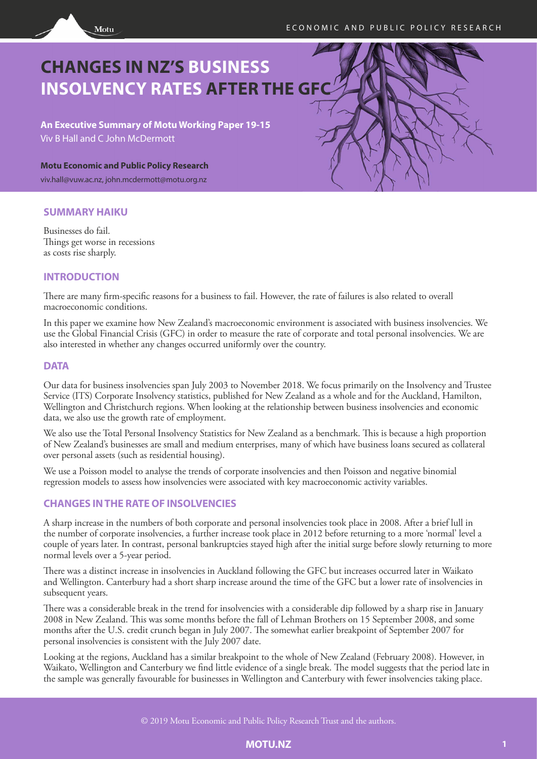

# **CHANGES IN NZ'S BUSINESS INSOLVENCY RATES AFTER THE GFC**

**An Executive Summary of Motu Working Paper 19-15**  Viv B Hall and C John McDermott

**Motu Economic and Public Policy Research**

viv.hall@vuw.ac.nz, john.mcdermott@motu.org.nz

## **SUMMARY HAIKU**

Businesses do fail. Things get worse in recessions as costs rise sharply.

# **INTRODUCTION**

There are many firm-specific reasons for a business to fail. However, the rate of failures is also related to overall macroeconomic conditions.

In this paper we examine how New Zealand's macroeconomic environment is associated with business insolvencies. We use the Global Financial Crisis (GFC) in order to measure the rate of corporate and total personal insolvencies. We are also interested in whether any changes occurred uniformly over the country.

# **DATA**

Our data for business insolvencies span July 2003 to November 2018. We focus primarily on the Insolvency and Trustee Service (ITS) Corporate Insolvency statistics, published for New Zealand as a whole and for the Auckland, Hamilton, Wellington and Christchurch regions. When looking at the relationship between business insolvencies and economic data, we also use the growth rate of employment.

We also use the Total Personal Insolvency Statistics for New Zealand as a benchmark. This is because a high proportion of New Zealand's businesses are small and medium enterprises, many of which have business loans secured as collateral over personal assets (such as residential housing).

We use a Poisson model to analyse the trends of corporate insolvencies and then Poisson and negative binomial regression models to assess how insolvencies were associated with key macroeconomic activity variables.

# **CHANGES IN THE RATE OF INSOLVENCIES**

A sharp increase in the numbers of both corporate and personal insolvencies took place in 2008. After a brief lull in the number of corporate insolvencies, a further increase took place in 2012 before returning to a more 'normal' level a couple of years later. In contrast, personal bankruptcies stayed high after the initial surge before slowly returning to more normal levels over a 5-year period.

There was a distinct increase in insolvencies in Auckland following the GFC but increases occurred later in Waikato and Wellington. Canterbury had a short sharp increase around the time of the GFC but a lower rate of insolvencies in subsequent years.

There was a considerable break in the trend for insolvencies with a considerable dip followed by a sharp rise in January 2008 in New Zealand. This was some months before the fall of Lehman Brothers on 15 September 2008, and some months after the U.S. credit crunch began in July 2007. The somewhat earlier breakpoint of September 2007 for personal insolvencies is consistent with the July 2007 date.

Looking at the regions, Auckland has a similar breakpoint to the whole of New Zealand (February 2008). However, in Waikato, Wellington and Canterbury we find little evidence of a single break. The model suggests that the period late in the sample was generally favourable for businesses in Wellington and Canterbury with fewer insolvencies taking place.

© 2019 Motu Economic and Public Policy Research Trust and the authors.

#### **MOTU.NZ 1**